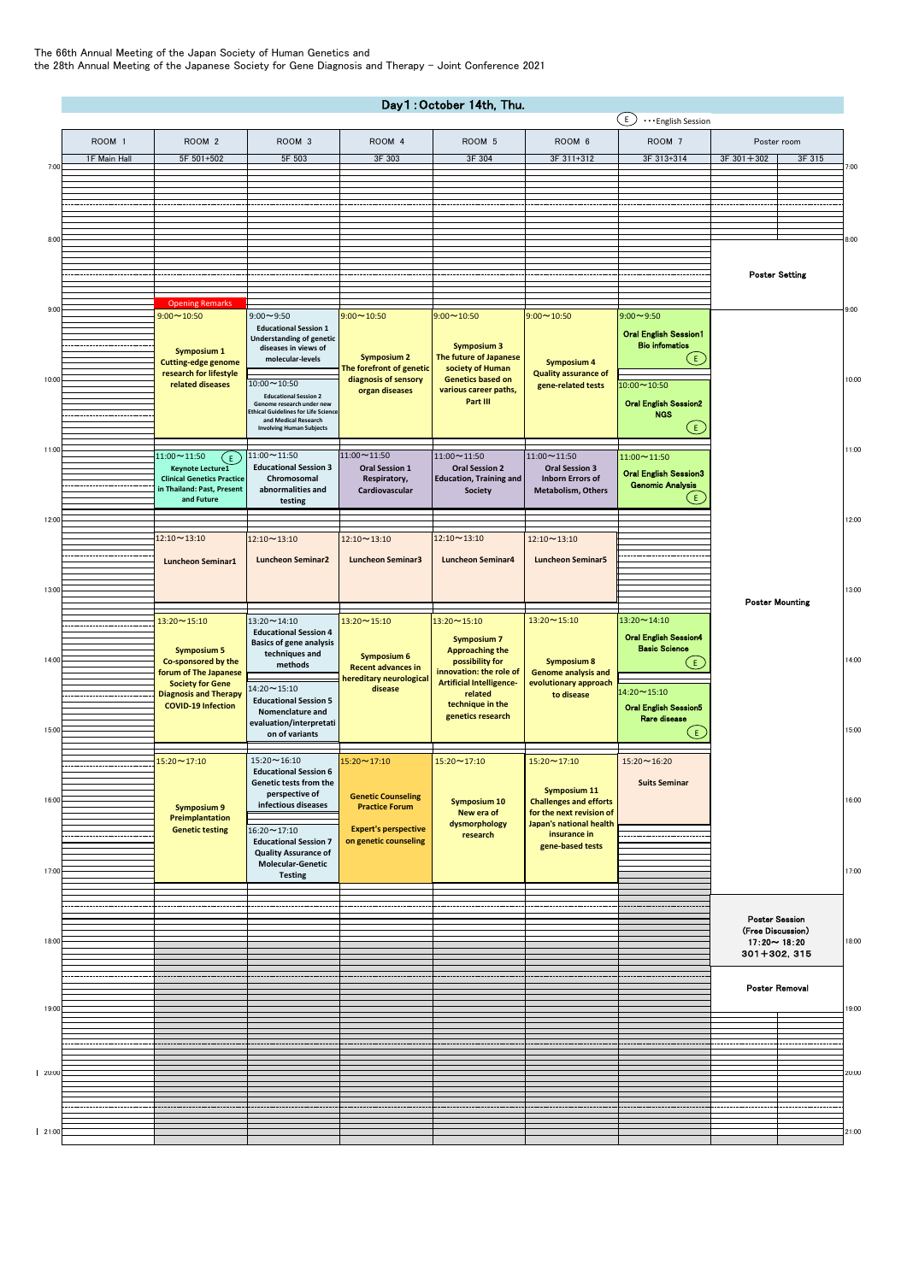The 66th Annual Meeting of the Japan Society of Human Genetics and the 28th Annual Meeting of the Japanese Society for Gene Diagnosis and Therapy – Joint Conference 2021

|        | Day1: October 14th, Thu. |                                                                                                                                      |                                                                                             |                                                                                          |                                                                                                 |                                                                         |                                                         |                                         |       |  |  |
|--------|--------------------------|--------------------------------------------------------------------------------------------------------------------------------------|---------------------------------------------------------------------------------------------|------------------------------------------------------------------------------------------|-------------------------------------------------------------------------------------------------|-------------------------------------------------------------------------|---------------------------------------------------------|-----------------------------------------|-------|--|--|
|        |                          |                                                                                                                                      |                                                                                             |                                                                                          |                                                                                                 |                                                                         | ΕJ<br>English Session                                   |                                         |       |  |  |
|        | ROOM 1                   | ROOM <sub>2</sub>                                                                                                                    | ROOM <sub>3</sub>                                                                           | ROOM 4                                                                                   | ROOM 5                                                                                          | ROOM 6                                                                  | ROOM <sub>7</sub>                                       | Poster room                             |       |  |  |
| 7:00   | 1F Main Hall             | 5F 501+502                                                                                                                           | 5F 503                                                                                      | 3F 303                                                                                   | 3F 304                                                                                          | 3F 311+312                                                              | 3F 313+314                                              | $3F$ 301 + 302<br>3F 315                | 7:00  |  |  |
|        |                          |                                                                                                                                      |                                                                                             |                                                                                          |                                                                                                 |                                                                         |                                                         |                                         |       |  |  |
|        |                          |                                                                                                                                      |                                                                                             |                                                                                          |                                                                                                 |                                                                         |                                                         |                                         |       |  |  |
|        |                          |                                                                                                                                      |                                                                                             |                                                                                          |                                                                                                 |                                                                         |                                                         |                                         |       |  |  |
| 8:00   |                          |                                                                                                                                      |                                                                                             |                                                                                          |                                                                                                 |                                                                         |                                                         |                                         | 8:00  |  |  |
|        |                          |                                                                                                                                      |                                                                                             |                                                                                          |                                                                                                 |                                                                         |                                                         |                                         |       |  |  |
|        |                          |                                                                                                                                      |                                                                                             |                                                                                          |                                                                                                 |                                                                         |                                                         | <b>Poster Setting</b>                   |       |  |  |
|        |                          |                                                                                                                                      |                                                                                             |                                                                                          |                                                                                                 |                                                                         |                                                         |                                         |       |  |  |
| 9:00   |                          | <b>Opening Remarks</b>                                                                                                               |                                                                                             |                                                                                          |                                                                                                 |                                                                         |                                                         |                                         | 9:00  |  |  |
|        |                          | $9:00 \sim 10:50$                                                                                                                    | $9:00 - 9:50$<br><b>Educational Session 1</b>                                               | $9:00 \sim 10:50$                                                                        | $9:00 \sim 10:50$                                                                               | $9:00 \sim 10:50$                                                       | $9:00 \sim 9:50$                                        |                                         |       |  |  |
|        |                          |                                                                                                                                      | <b>Understanding of genetic</b><br>diseases in views of                                     |                                                                                          | <b>Symposium 3</b>                                                                              |                                                                         | <b>Oral English Session1</b><br><b>Bio infomatics</b>   |                                         |       |  |  |
|        |                          | Symposium 1<br><b>Cutting-edge genome</b><br>research for lifestyle<br>related diseases                                              | molecular-levels                                                                            | <b>Symposium 2</b><br>The forefront of genetic<br>diagnosis of sensory<br>organ diseases | The future of Japanese<br>society of Human<br><b>Genetics based on</b><br>various career paths, | <b>Symposium 4</b><br><b>Quality assurance of</b><br>gene-related tests | ίE.                                                     |                                         | 10:00 |  |  |
| 10:00  |                          |                                                                                                                                      |                                                                                             |                                                                                          |                                                                                                 |                                                                         |                                                         |                                         |       |  |  |
|        |                          |                                                                                                                                      | $10:00 \sim 10:50$<br><b>Educational Session 2</b>                                          |                                                                                          |                                                                                                 |                                                                         | 10:00~10:50                                             |                                         |       |  |  |
|        |                          |                                                                                                                                      | Genome research under new<br><b>Ethical Guidelines for Life Science</b>                     |                                                                                          | Part III                                                                                        |                                                                         | <b>Oral English Session2</b><br><b>NGS</b>              |                                         |       |  |  |
|        |                          |                                                                                                                                      | and Medical Research<br><b>Involving Human Subjects</b>                                     |                                                                                          |                                                                                                 |                                                                         | ίE,                                                     |                                         |       |  |  |
| 11:00  |                          |                                                                                                                                      |                                                                                             |                                                                                          |                                                                                                 |                                                                         |                                                         |                                         | 11:00 |  |  |
|        |                          | $11:00 \sim 11:50$<br>ίE.<br>Keynote Lecture1                                                                                        | $11:00 \sim 11:50$<br><b>Educational Session 3</b>                                          | $11:00 \sim 11:50$<br><b>Oral Session 1</b>                                              | $11:00 \sim 11:50$<br><b>Oral Session 2</b>                                                     | 11:00~11:50<br><b>Oral Session 3</b>                                    | $11:00 \sim 11:50$                                      |                                         |       |  |  |
|        |                          | <b>Clinical Genetics Practice</b>                                                                                                    | Chromosomal                                                                                 | Respiratory,                                                                             | <b>Education, Training and</b>                                                                  | <b>Inborn Errors of</b>                                                 | <b>Oral English Session3</b><br><b>Genomic Analysis</b> |                                         |       |  |  |
|        |                          | in Thailand: Past, Present<br>and Future                                                                                             | abnormalities and<br>testing                                                                | Cardiovascular                                                                           | Society                                                                                         | Metabolism, Others                                                      | (E.                                                     |                                         |       |  |  |
| 12:00  |                          |                                                                                                                                      |                                                                                             |                                                                                          |                                                                                                 |                                                                         |                                                         |                                         | 12:00 |  |  |
|        |                          | $12:10 \sim 13:10$                                                                                                                   | 12:10~13:10                                                                                 | $12:10 \sim 13:10$                                                                       | $12:10 \sim 13:10$                                                                              | $12:10 \sim 13:10$                                                      |                                                         |                                         |       |  |  |
|        |                          |                                                                                                                                      |                                                                                             |                                                                                          |                                                                                                 |                                                                         |                                                         |                                         |       |  |  |
|        |                          | <b>Luncheon Seminar1</b>                                                                                                             | <b>Luncheon Seminar2</b>                                                                    | <b>Luncheon Seminar3</b>                                                                 | <b>Luncheon Seminar4</b>                                                                        | <b>Luncheon Seminar5</b>                                                |                                                         |                                         |       |  |  |
| 13:00  |                          |                                                                                                                                      |                                                                                             |                                                                                          |                                                                                                 |                                                                         |                                                         |                                         | 13:00 |  |  |
|        |                          |                                                                                                                                      |                                                                                             |                                                                                          |                                                                                                 |                                                                         |                                                         | <b>Poster Mounting</b>                  |       |  |  |
|        |                          | $13:20 \sim 15:10$                                                                                                                   | $13:20 \sim 14:10$                                                                          | $13:20 \sim 15:10$                                                                       | 13:20~15:10                                                                                     | $13:20 \sim 15:10$                                                      | 13:20~14:10                                             |                                         |       |  |  |
|        |                          |                                                                                                                                      | <b>Educational Session 4</b><br><b>Basics of gene analysis</b><br>techniques and<br>methods | <b>Symposium 6</b><br><b>Recent advances in</b><br>hereditary neurological               | <b>Symposium 7</b><br><b>Approaching the</b><br>possibility for<br>innovation: the role of      | <b>Symposium 8</b><br><b>Genome analysis and</b>                        | <b>Oral English Session4</b>                            |                                         |       |  |  |
| 14:00  |                          | <b>Symposium 5</b>                                                                                                                   |                                                                                             |                                                                                          |                                                                                                 |                                                                         | <b>Basic Science</b>                                    |                                         | 14:00 |  |  |
|        |                          | Co-sponsored by the<br>forum of The Japanese<br><b>Society for Gene</b><br><b>Diagnosis and Therapy</b><br><b>COVID-19 Infection</b> |                                                                                             |                                                                                          |                                                                                                 |                                                                         | ίĒ.                                                     |                                         |       |  |  |
|        |                          |                                                                                                                                      | $14:20 \sim 15:10$                                                                          | disease                                                                                  | <b>Artificial Intelligence-</b><br>related                                                      | evolutionary approach<br>to disease                                     | 14:20~15:10                                             |                                         |       |  |  |
|        |                          |                                                                                                                                      | <b>Educational Session 5</b><br>Nomenclature and<br>evaluation/interpretati                 |                                                                                          | technique in the<br>genetics research                                                           |                                                                         | <b>Oral English Session5</b>                            |                                         |       |  |  |
| 15:00  |                          |                                                                                                                                      |                                                                                             |                                                                                          |                                                                                                 |                                                                         | <b>Rare disease</b>                                     |                                         | 15:00 |  |  |
|        |                          |                                                                                                                                      | on of variants                                                                              |                                                                                          |                                                                                                 |                                                                         | E                                                       |                                         |       |  |  |
|        |                          | 15:20~17:10                                                                                                                          | $15:20 \sim 16:10$                                                                          | $15:20 \sim 17:10$                                                                       | 15:20~17:10                                                                                     | $15:20 \sim 17:10$                                                      | $15:20 - 16:20$                                         |                                         |       |  |  |
|        |                          |                                                                                                                                      | <b>Educational Session 6</b><br>Genetic tests from the                                      |                                                                                          |                                                                                                 |                                                                         |                                                         | <b>Suits Seminar</b>                    |       |  |  |
| 16:00  |                          |                                                                                                                                      | perspective of                                                                              | <b>Genetic Counseling</b><br><b>Practice Forum</b><br><b>Expert's perspective</b>        | <b>Symposium 10</b><br>New era of<br>dysmorphology                                              | <b>Symposium 11</b><br><b>Challenges and efforts</b>                    |                                                         |                                         | 16:00 |  |  |
|        |                          | <b>Symposium 9</b><br><b>Preimplantation</b><br><b>Genetic testing</b>                                                               | infectious diseases                                                                         |                                                                                          |                                                                                                 | for the next revision of                                                |                                                         |                                         |       |  |  |
|        |                          |                                                                                                                                      | 16:20~17:10                                                                                 |                                                                                          |                                                                                                 | Japan's national health<br>insurance in<br>research<br>gene-based tests |                                                         |                                         |       |  |  |
|        |                          |                                                                                                                                      | <b>Educational Session 7</b><br><b>Quality Assurance of</b>                                 | on genetic counseling                                                                    |                                                                                                 |                                                                         |                                                         |                                         |       |  |  |
| 17:00  |                          |                                                                                                                                      | <b>Molecular-Genetic</b>                                                                    |                                                                                          |                                                                                                 |                                                                         |                                                         |                                         | 17:00 |  |  |
|        |                          |                                                                                                                                      | <b>Testing</b>                                                                              |                                                                                          |                                                                                                 |                                                                         |                                                         |                                         |       |  |  |
|        |                          |                                                                                                                                      |                                                                                             |                                                                                          |                                                                                                 |                                                                         |                                                         |                                         |       |  |  |
|        |                          |                                                                                                                                      |                                                                                             |                                                                                          |                                                                                                 |                                                                         |                                                         | <b>Poster Session</b>                   |       |  |  |
| 18:00  |                          |                                                                                                                                      |                                                                                             |                                                                                          |                                                                                                 |                                                                         |                                                         | (Free Discussion)<br>$17:20 \sim 18:20$ | 18:00 |  |  |
|        |                          |                                                                                                                                      |                                                                                             |                                                                                          |                                                                                                 |                                                                         |                                                         | 301+302, 315                            |       |  |  |
|        |                          |                                                                                                                                      |                                                                                             |                                                                                          |                                                                                                 |                                                                         |                                                         |                                         |       |  |  |
|        |                          |                                                                                                                                      |                                                                                             |                                                                                          |                                                                                                 |                                                                         |                                                         | Poster Removal                          |       |  |  |
| 19:00  |                          |                                                                                                                                      |                                                                                             |                                                                                          |                                                                                                 |                                                                         |                                                         |                                         | 19:00 |  |  |
|        |                          |                                                                                                                                      |                                                                                             |                                                                                          |                                                                                                 |                                                                         |                                                         |                                         |       |  |  |
|        |                          |                                                                                                                                      |                                                                                             |                                                                                          |                                                                                                 |                                                                         |                                                         |                                         |       |  |  |
|        |                          |                                                                                                                                      |                                                                                             |                                                                                          |                                                                                                 |                                                                         |                                                         |                                         |       |  |  |
| 20:00  |                          |                                                                                                                                      |                                                                                             |                                                                                          |                                                                                                 |                                                                         |                                                         |                                         | 20:00 |  |  |
|        |                          |                                                                                                                                      |                                                                                             |                                                                                          |                                                                                                 |                                                                         |                                                         |                                         |       |  |  |
|        |                          |                                                                                                                                      |                                                                                             |                                                                                          |                                                                                                 |                                                                         |                                                         |                                         |       |  |  |
| 121:00 |                          |                                                                                                                                      |                                                                                             |                                                                                          |                                                                                                 |                                                                         |                                                         |                                         | 21:00 |  |  |
|        |                          |                                                                                                                                      |                                                                                             |                                                                                          |                                                                                                 |                                                                         |                                                         |                                         |       |  |  |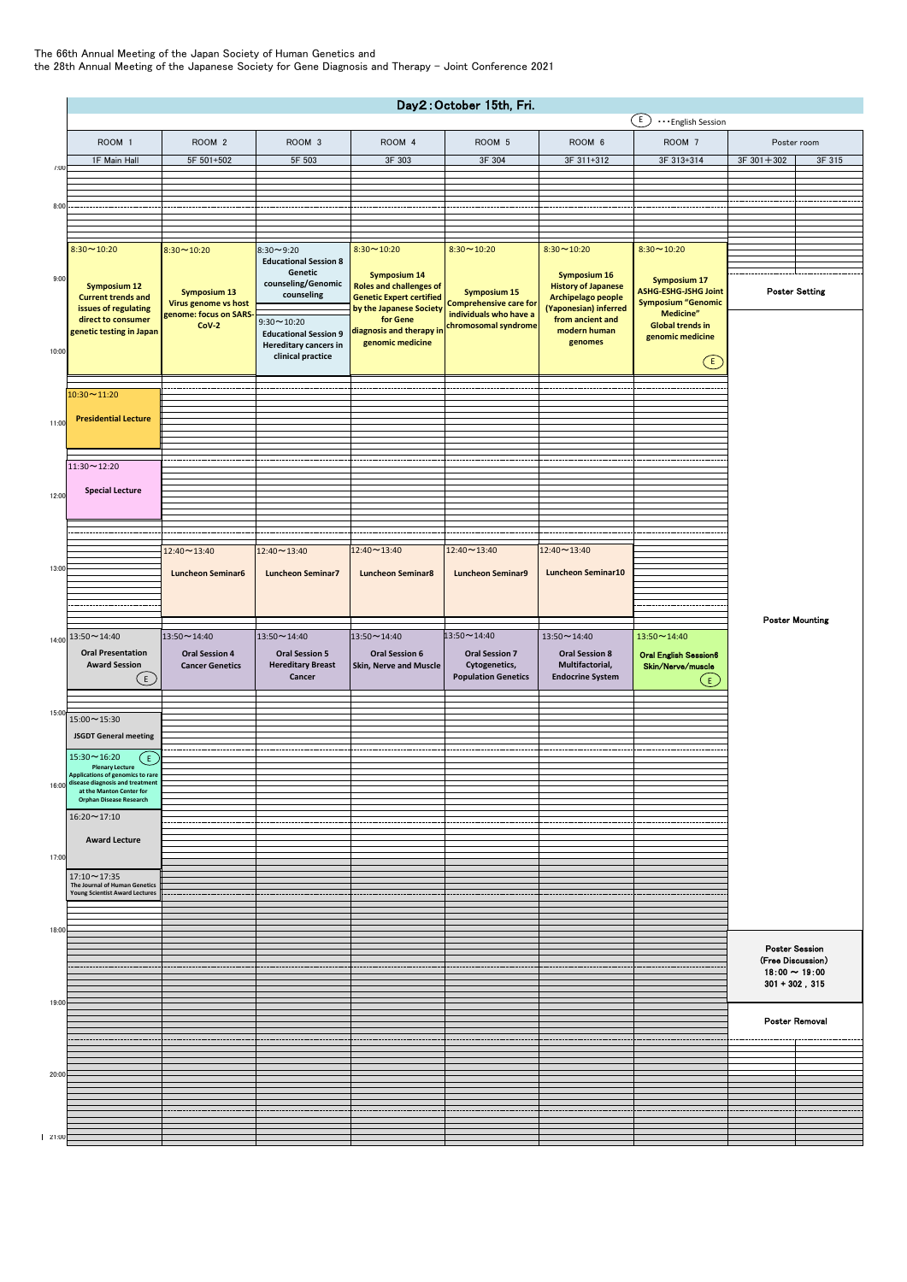## The 66th Annual Meeting of the Japan Society of Human Genetics and the 28th Annual Meeting of the Japanese Society for Gene Diagnosis and Therapy – Joint Conference 2021

|       | Day2: October 15th, Fri.<br>$\left(\overline{E}\right)$<br>· · · English Session               |                                                 |                                                                                   |                                                                                                                                                                                 |                                                                                                        |                                                                                                                                                 |                                                                                                                                             |                                            |        |  |  |  |
|-------|------------------------------------------------------------------------------------------------|-------------------------------------------------|-----------------------------------------------------------------------------------|---------------------------------------------------------------------------------------------------------------------------------------------------------------------------------|--------------------------------------------------------------------------------------------------------|-------------------------------------------------------------------------------------------------------------------------------------------------|---------------------------------------------------------------------------------------------------------------------------------------------|--------------------------------------------|--------|--|--|--|
|       | ROOM 1                                                                                         | ROOM <sub>2</sub>                               | ROOM 3                                                                            | ROOM 4                                                                                                                                                                          | ROOM 5                                                                                                 | ROOM 6                                                                                                                                          | ROOM 7                                                                                                                                      | Poster room                                |        |  |  |  |
|       | 1F Main Hall                                                                                   | 5F 501+502                                      | 5F 503                                                                            | 3F 303                                                                                                                                                                          | 3F 304                                                                                                 | 3F 311+312                                                                                                                                      | 3F 313+314                                                                                                                                  | $3F 301 + 302$                             | 3F 315 |  |  |  |
| 7:00  |                                                                                                |                                                 |                                                                                   |                                                                                                                                                                                 |                                                                                                        |                                                                                                                                                 |                                                                                                                                             |                                            |        |  |  |  |
|       |                                                                                                |                                                 |                                                                                   |                                                                                                                                                                                 |                                                                                                        |                                                                                                                                                 |                                                                                                                                             |                                            |        |  |  |  |
| 8:00  |                                                                                                |                                                 |                                                                                   |                                                                                                                                                                                 |                                                                                                        |                                                                                                                                                 |                                                                                                                                             |                                            |        |  |  |  |
|       |                                                                                                |                                                 |                                                                                   |                                                                                                                                                                                 |                                                                                                        |                                                                                                                                                 |                                                                                                                                             |                                            |        |  |  |  |
|       | $8:30 \sim 10:20$                                                                              | $8:30 - 10:20$                                  | $8:30 - 9:20$                                                                     | $8:30 - 10:20$                                                                                                                                                                  | $8:30 - 10:20$                                                                                         | $8:30 - 10:20$                                                                                                                                  | $8:30 - 10:20$                                                                                                                              |                                            |        |  |  |  |
|       |                                                                                                |                                                 | <b>Educational Session 8</b><br>Genetic<br>counseling/Genomic                     | <b>Symposium 14</b><br><b>Roles and challenges of</b><br><b>Genetic Expert certified</b><br>by the Japanese Society<br>for Gene<br>diagnosis and therapy in<br>genomic medicine | <b>Symposium 15</b><br><b>Comprehensive care for</b><br>individuals who have a<br>chromosomal syndrome | <b>Symposium 16</b><br><b>History of Japanese</b><br>Archipelago people<br>(Yaponesian) inferred<br>from ancient and<br>modern human<br>genomes | <b>Symposium 17</b><br><b>ASHG-ESHG-JSHG Joint</b><br><b>Symposium "Genomic</b><br>Medicine"<br><b>Global trends in</b><br>genomic medicine |                                            |        |  |  |  |
| 9:00  | <b>Symposium 12</b><br><b>Current trends and</b><br>issues of regulating<br>direct to consumer |                                                 |                                                                                   |                                                                                                                                                                                 |                                                                                                        |                                                                                                                                                 |                                                                                                                                             |                                            |        |  |  |  |
|       |                                                                                                | <b>Symposium 13</b><br>Virus genome vs host     | counseling                                                                        |                                                                                                                                                                                 |                                                                                                        |                                                                                                                                                 |                                                                                                                                             | <b>Poster Setting</b>                      |        |  |  |  |
|       |                                                                                                | genome: focus on SARS-<br>$CoV-2$               | $9:30 - 10:20$                                                                    |                                                                                                                                                                                 |                                                                                                        |                                                                                                                                                 |                                                                                                                                             |                                            |        |  |  |  |
|       | genetic testing in Japan                                                                       |                                                 | <b>Educational Session 9</b><br><b>Hereditary cancers in</b><br>clinical practice |                                                                                                                                                                                 |                                                                                                        |                                                                                                                                                 |                                                                                                                                             |                                            |        |  |  |  |
| 10:00 |                                                                                                |                                                 |                                                                                   |                                                                                                                                                                                 |                                                                                                        |                                                                                                                                                 | $\bigodot$                                                                                                                                  |                                            |        |  |  |  |
|       |                                                                                                |                                                 |                                                                                   |                                                                                                                                                                                 |                                                                                                        |                                                                                                                                                 |                                                                                                                                             |                                            |        |  |  |  |
|       | $10:30 \sim 11:20$                                                                             |                                                 |                                                                                   |                                                                                                                                                                                 |                                                                                                        |                                                                                                                                                 |                                                                                                                                             |                                            |        |  |  |  |
|       |                                                                                                |                                                 |                                                                                   |                                                                                                                                                                                 |                                                                                                        |                                                                                                                                                 |                                                                                                                                             |                                            |        |  |  |  |
| 11:00 | <b>Presidential Lecture</b>                                                                    |                                                 |                                                                                   |                                                                                                                                                                                 |                                                                                                        |                                                                                                                                                 |                                                                                                                                             |                                            |        |  |  |  |
|       |                                                                                                |                                                 |                                                                                   |                                                                                                                                                                                 |                                                                                                        |                                                                                                                                                 |                                                                                                                                             |                                            |        |  |  |  |
|       | 11:30~12:20                                                                                    |                                                 |                                                                                   |                                                                                                                                                                                 |                                                                                                        |                                                                                                                                                 |                                                                                                                                             |                                            |        |  |  |  |
|       |                                                                                                |                                                 |                                                                                   |                                                                                                                                                                                 |                                                                                                        |                                                                                                                                                 |                                                                                                                                             |                                            |        |  |  |  |
| 12:00 | <b>Special Lecture</b>                                                                         |                                                 |                                                                                   |                                                                                                                                                                                 |                                                                                                        |                                                                                                                                                 |                                                                                                                                             |                                            |        |  |  |  |
|       |                                                                                                |                                                 |                                                                                   |                                                                                                                                                                                 |                                                                                                        |                                                                                                                                                 |                                                                                                                                             |                                            |        |  |  |  |
|       |                                                                                                |                                                 |                                                                                   |                                                                                                                                                                                 |                                                                                                        |                                                                                                                                                 |                                                                                                                                             |                                            |        |  |  |  |
|       |                                                                                                | 12:40~13:40                                     | $12:40 \sim 13:40$                                                                | 12:40~13:40                                                                                                                                                                     | 12:40~13:40                                                                                            | 12:40~13:40                                                                                                                                     |                                                                                                                                             |                                            |        |  |  |  |
| 13:00 |                                                                                                | <b>Luncheon Seminar6</b>                        | <b>Luncheon Seminar7</b>                                                          | <b>Luncheon Seminar8</b>                                                                                                                                                        | <b>Luncheon Seminar9</b>                                                                               | Luncheon Seminar10                                                                                                                              |                                                                                                                                             |                                            |        |  |  |  |
|       |                                                                                                |                                                 |                                                                                   |                                                                                                                                                                                 |                                                                                                        |                                                                                                                                                 |                                                                                                                                             |                                            |        |  |  |  |
|       |                                                                                                |                                                 |                                                                                   |                                                                                                                                                                                 |                                                                                                        |                                                                                                                                                 |                                                                                                                                             |                                            |        |  |  |  |
|       |                                                                                                |                                                 |                                                                                   |                                                                                                                                                                                 |                                                                                                        |                                                                                                                                                 |                                                                                                                                             | <b>Poster Mounting</b>                     |        |  |  |  |
|       |                                                                                                |                                                 |                                                                                   |                                                                                                                                                                                 |                                                                                                        |                                                                                                                                                 |                                                                                                                                             |                                            |        |  |  |  |
| 14:00 | $13:50 \sim 14:40$                                                                             | 13:50~14:40                                     | 13:50~14:40                                                                       | 13:50~14:40                                                                                                                                                                     | 13:50~14:40                                                                                            | $13:50 \sim 14:40$                                                                                                                              | 13:50~14:40                                                                                                                                 |                                            |        |  |  |  |
|       | <b>Oral Presentation</b><br><b>Award Session</b>                                               | <b>Oral Session 4</b><br><b>Cancer Genetics</b> | <b>Oral Session 5</b><br><b>Hereditary Breast</b>                                 | <b>Oral Session 6</b><br>Skin, Nerve and Muscle                                                                                                                                 | <b>Oral Session 7</b><br>Cytogenetics,                                                                 | <b>Oral Session 8</b><br>Multifactorial,                                                                                                        | <b>Oral English Session6</b><br>Skin/Nerve/muscle                                                                                           |                                            |        |  |  |  |
|       | (E)                                                                                            |                                                 | Cancer                                                                            |                                                                                                                                                                                 | <b>Population Genetics</b>                                                                             | <b>Endocrine System</b>                                                                                                                         | (E.,                                                                                                                                        |                                            |        |  |  |  |
|       |                                                                                                |                                                 |                                                                                   |                                                                                                                                                                                 |                                                                                                        |                                                                                                                                                 |                                                                                                                                             |                                            |        |  |  |  |
| 15:00 | $15:00 \sim 15:30$                                                                             |                                                 |                                                                                   |                                                                                                                                                                                 |                                                                                                        |                                                                                                                                                 |                                                                                                                                             |                                            |        |  |  |  |
|       | <b>JSGDT General meeting</b>                                                                   |                                                 |                                                                                   |                                                                                                                                                                                 |                                                                                                        |                                                                                                                                                 |                                                                                                                                             |                                            |        |  |  |  |
|       | $15:30 \sim 16:20$<br>$\left(\mathsf{E}\right)$                                                |                                                 |                                                                                   |                                                                                                                                                                                 |                                                                                                        |                                                                                                                                                 |                                                                                                                                             |                                            |        |  |  |  |
|       | <b>Plenary Lecture</b><br>tions of genomics t                                                  |                                                 |                                                                                   |                                                                                                                                                                                 |                                                                                                        |                                                                                                                                                 |                                                                                                                                             |                                            |        |  |  |  |
|       | 16:00 disease diagnosis and treatment<br>at the Manton Center for                              |                                                 |                                                                                   |                                                                                                                                                                                 |                                                                                                        |                                                                                                                                                 |                                                                                                                                             |                                            |        |  |  |  |
|       | <b>Orphan Disease Research</b><br>16:20~17:10                                                  |                                                 |                                                                                   |                                                                                                                                                                                 |                                                                                                        |                                                                                                                                                 |                                                                                                                                             |                                            |        |  |  |  |
|       |                                                                                                |                                                 |                                                                                   |                                                                                                                                                                                 |                                                                                                        |                                                                                                                                                 |                                                                                                                                             |                                            |        |  |  |  |
|       | <b>Award Lecture</b>                                                                           |                                                 |                                                                                   |                                                                                                                                                                                 |                                                                                                        |                                                                                                                                                 |                                                                                                                                             |                                            |        |  |  |  |
| 17:00 |                                                                                                |                                                 |                                                                                   |                                                                                                                                                                                 |                                                                                                        |                                                                                                                                                 |                                                                                                                                             |                                            |        |  |  |  |
|       | 17:10~17:35<br>The Journal of Human Genetics                                                   |                                                 |                                                                                   |                                                                                                                                                                                 |                                                                                                        |                                                                                                                                                 |                                                                                                                                             |                                            |        |  |  |  |
|       | <b>Young Scientist Award Lectures</b>                                                          |                                                 |                                                                                   |                                                                                                                                                                                 |                                                                                                        |                                                                                                                                                 |                                                                                                                                             |                                            |        |  |  |  |
|       |                                                                                                |                                                 |                                                                                   |                                                                                                                                                                                 |                                                                                                        |                                                                                                                                                 |                                                                                                                                             |                                            |        |  |  |  |
| 18:00 |                                                                                                |                                                 |                                                                                   |                                                                                                                                                                                 |                                                                                                        |                                                                                                                                                 |                                                                                                                                             |                                            |        |  |  |  |
|       |                                                                                                |                                                 |                                                                                   |                                                                                                                                                                                 |                                                                                                        |                                                                                                                                                 |                                                                                                                                             | <b>Poster Session</b><br>(Free Discussion) |        |  |  |  |
|       |                                                                                                |                                                 |                                                                                   |                                                                                                                                                                                 |                                                                                                        |                                                                                                                                                 |                                                                                                                                             | $18:00 \sim 19:00$                         |        |  |  |  |
|       |                                                                                                |                                                 |                                                                                   |                                                                                                                                                                                 |                                                                                                        |                                                                                                                                                 |                                                                                                                                             | $301 + 302$ , $315$                        |        |  |  |  |
| 19:00 |                                                                                                |                                                 |                                                                                   |                                                                                                                                                                                 |                                                                                                        |                                                                                                                                                 |                                                                                                                                             |                                            |        |  |  |  |
|       |                                                                                                |                                                 |                                                                                   |                                                                                                                                                                                 |                                                                                                        |                                                                                                                                                 |                                                                                                                                             | Poster Removal                             |        |  |  |  |
|       |                                                                                                |                                                 |                                                                                   |                                                                                                                                                                                 |                                                                                                        |                                                                                                                                                 |                                                                                                                                             |                                            |        |  |  |  |
|       |                                                                                                |                                                 |                                                                                   |                                                                                                                                                                                 |                                                                                                        |                                                                                                                                                 |                                                                                                                                             |                                            |        |  |  |  |
| 20:00 |                                                                                                |                                                 |                                                                                   |                                                                                                                                                                                 |                                                                                                        |                                                                                                                                                 |                                                                                                                                             |                                            |        |  |  |  |
|       |                                                                                                |                                                 |                                                                                   |                                                                                                                                                                                 |                                                                                                        |                                                                                                                                                 |                                                                                                                                             |                                            |        |  |  |  |
|       |                                                                                                |                                                 |                                                                                   |                                                                                                                                                                                 |                                                                                                        |                                                                                                                                                 |                                                                                                                                             |                                            |        |  |  |  |